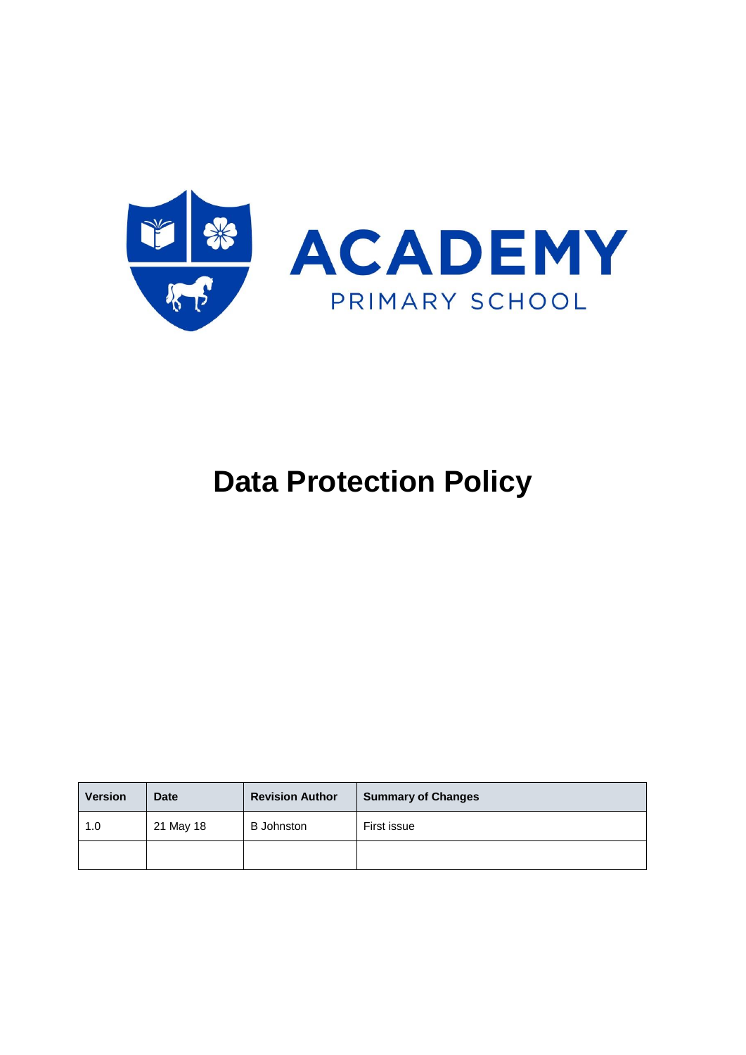

# **Data Protection Policy**

| <b>Version</b> | <b>Date</b> | <b>Revision Author</b> | <b>Summary of Changes</b> |
|----------------|-------------|------------------------|---------------------------|
| 1.0            | 21 May 18   | <b>B</b> Johnston      | First issue               |
|                |             |                        |                           |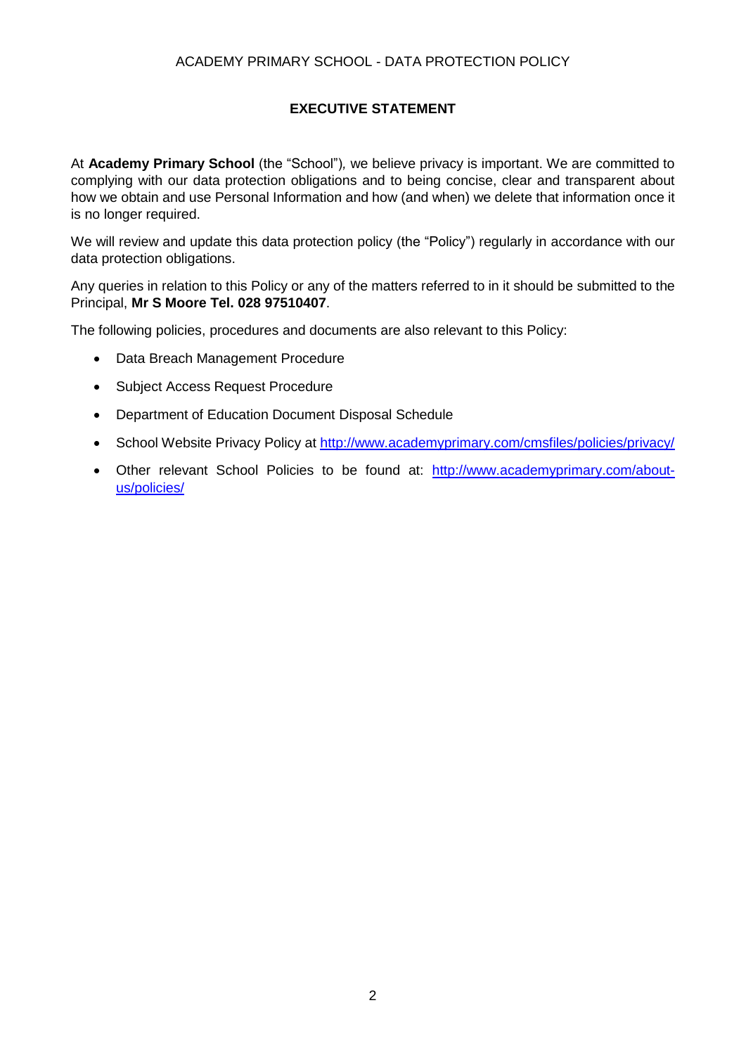# **EXECUTIVE STATEMENT**

At **Academy Primary School** (the "School")*,* we believe privacy is important. We are committed to complying with our data protection obligations and to being concise, clear and transparent about how we obtain and use Personal Information and how (and when) we delete that information once it is no longer required.

We will review and update this data protection policy (the "Policy") regularly in accordance with our data protection obligations.

Any queries in relation to this Policy or any of the matters referred to in it should be submitted to the Principal, **Mr S Moore Tel. 028 97510407**.

The following policies, procedures and documents are also relevant to this Policy:

- Data Breach Management Procedure
- Subject Access Request Procedure
- Department of Education Document Disposal Schedule
- School Website Privacy Policy at<http://www.academyprimary.com/cmsfiles/policies/privacy/>
- Other relevant School Policies to be found at: [http://www.academyprimary.com/about](http://www.academyprimary.com/about-us/policies/)[us/policies/](http://www.academyprimary.com/about-us/policies/)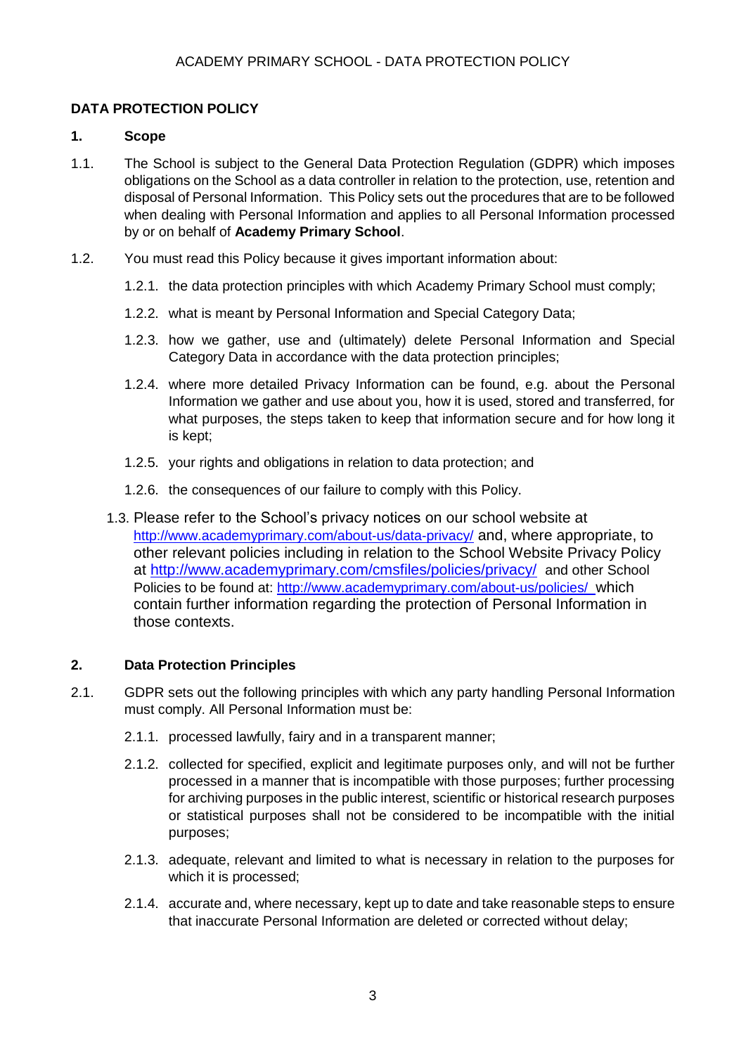# **DATA PROTECTION POLICY**

## **1. Scope**

- 1.1. The School is subject to the General Data Protection Regulation (GDPR) which imposes obligations on the School as a data controller in relation to the protection, use, retention and disposal of Personal Information. This Policy sets out the procedures that are to be followed when dealing with Personal Information and applies to all Personal Information processed by or on behalf of **Academy Primary School**.
- 1.2. You must read this Policy because it gives important information about:
	- 1.2.1. the data protection principles with which Academy Primary School must comply;
	- 1.2.2. what is meant by Personal Information and Special Category Data;
	- 1.2.3. how we gather, use and (ultimately) delete Personal Information and Special Category Data in accordance with the data protection principles;
	- 1.2.4. where more detailed Privacy Information can be found, e.g. about the Personal Information we gather and use about you, how it is used, stored and transferred, for what purposes, the steps taken to keep that information secure and for how long it is kept;
	- 1.2.5. your rights and obligations in relation to data protection; and
	- 1.2.6. the consequences of our failure to comply with this Policy.
	- 1.3. Please refer to the School's privacy notices on our school website at <http://www.academyprimary.com/about-us/data-privacy/> and, where appropriate, to other relevant policies including in relation to the School Website Privacy Policy at<http://www.academyprimary.com/cmsfiles/policies/privacy/> and other School Policies to be found at:<http://www.academyprimary.com/about-us/policies/>which contain further information regarding the protection of Personal Information in those contexts.

## **2. Data Protection Principles**

- 2.1. GDPR sets out the following principles with which any party handling Personal Information must comply. All Personal Information must be:
	- 2.1.1. processed lawfully, fairy and in a transparent manner;
	- 2.1.2. collected for specified, explicit and legitimate purposes only, and will not be further processed in a manner that is incompatible with those purposes; further processing for archiving purposes in the public interest, scientific or historical research purposes or statistical purposes shall not be considered to be incompatible with the initial purposes;
	- 2.1.3. adequate, relevant and limited to what is necessary in relation to the purposes for which it is processed;
	- 2.1.4. accurate and, where necessary, kept up to date and take reasonable steps to ensure that inaccurate Personal Information are deleted or corrected without delay;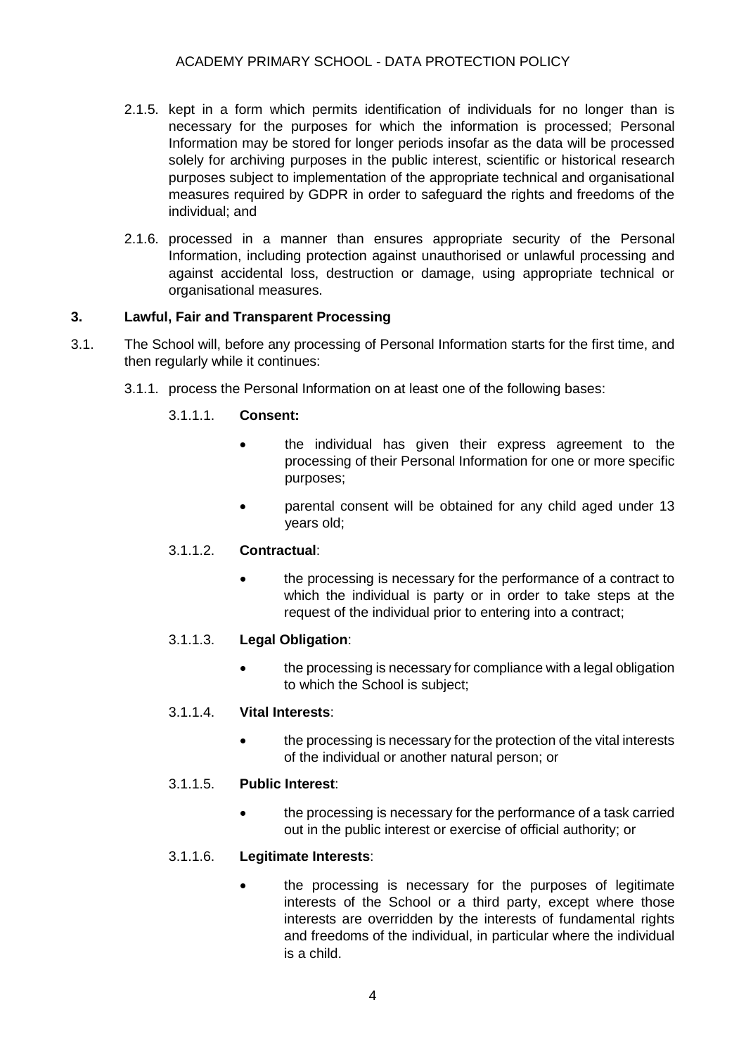- 2.1.5. kept in a form which permits identification of individuals for no longer than is necessary for the purposes for which the information is processed; Personal Information may be stored for longer periods insofar as the data will be processed solely for archiving purposes in the public interest, scientific or historical research purposes subject to implementation of the appropriate technical and organisational measures required by GDPR in order to safeguard the rights and freedoms of the individual; and
- 2.1.6. processed in a manner than ensures appropriate security of the Personal Information, including protection against unauthorised or unlawful processing and against accidental loss, destruction or damage, using appropriate technical or organisational measures.

## **3. Lawful, Fair and Transparent Processing**

- 3.1. The School will, before any processing of Personal Information starts for the first time, and then regularly while it continues:
	- 3.1.1. process the Personal Information on at least one of the following bases:

## 3.1.1.1. **Consent:**

- the individual has given their express agreement to the processing of their Personal Information for one or more specific purposes;
- parental consent will be obtained for any child aged under 13 years old;

#### 3.1.1.2. **Contractual**:

• the processing is necessary for the performance of a contract to which the individual is party or in order to take steps at the request of the individual prior to entering into a contract;

#### 3.1.1.3. **Legal Obligation**:

• the processing is necessary for compliance with a legal obligation to which the School is subject;

## 3.1.1.4. **Vital Interests**:

• the processing is necessary for the protection of the vital interests of the individual or another natural person; or

#### 3.1.1.5. **Public Interest**:

• the processing is necessary for the performance of a task carried out in the public interest or exercise of official authority; or

#### 3.1.1.6. **Legitimate Interests**:

• the processing is necessary for the purposes of legitimate interests of the School or a third party, except where those interests are overridden by the interests of fundamental rights and freedoms of the individual, in particular where the individual is a child.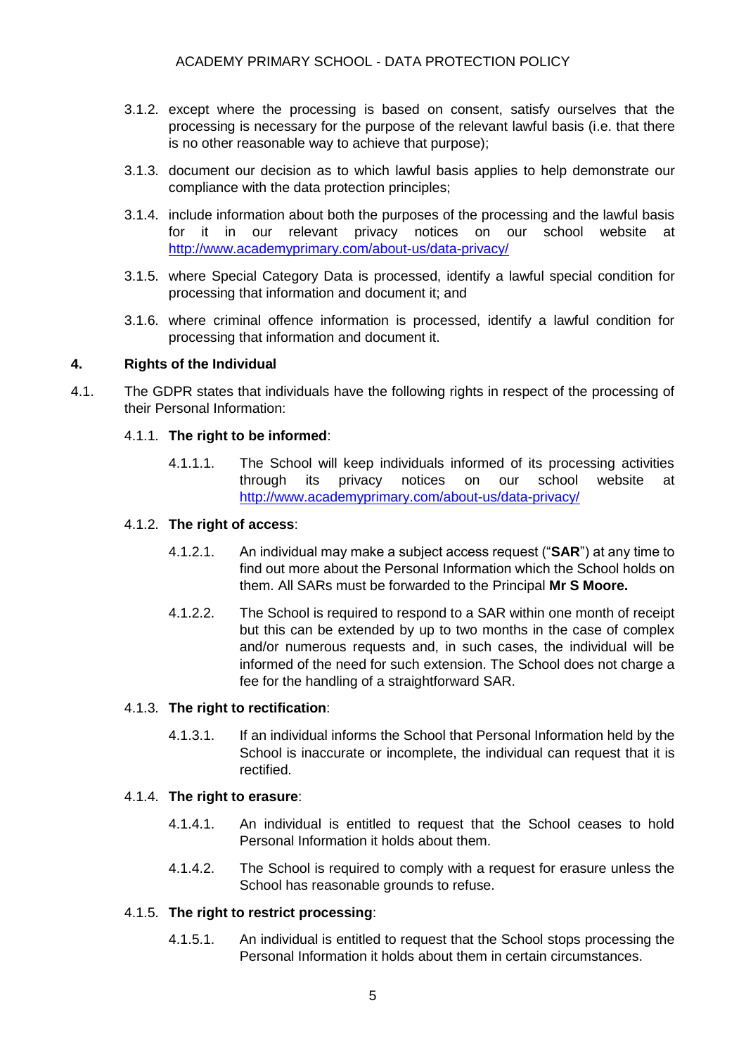- 3.1.2. except where the processing is based on consent, satisfy ourselves that the processing is necessary for the purpose of the relevant lawful basis (i.e. that there is no other reasonable way to achieve that purpose);
- 3.1.3. document our decision as to which lawful basis applies to help demonstrate our compliance with the data protection principles;
- 3.1.4. include information about both the purposes of the processing and the lawful basis for it in our relevant privacy notices on our school website at <http://www.academyprimary.com/about-us/data-privacy/>
- 3.1.5. where Special Category Data is processed, identify a lawful special condition for processing that information and document it; and
- 3.1.6. where criminal offence information is processed, identify a lawful condition for processing that information and document it.

#### **4. Rights of the Individual**

4.1. The GDPR states that individuals have the following rights in respect of the processing of their Personal Information:

#### 4.1.1. **The right to be informed**:

4.1.1.1. The School will keep individuals informed of its processing activities through its privacy notices on our school website at <http://www.academyprimary.com/about-us/data-privacy/>

#### 4.1.2. **The right of access**:

- 4.1.2.1. An individual may make a subject access request ("**SAR**") at any time to find out more about the Personal Information which the School holds on them. All SARs must be forwarded to the Principal **Mr S Moore.**
- 4.1.2.2. The School is required to respond to a SAR within one month of receipt but this can be extended by up to two months in the case of complex and/or numerous requests and, in such cases, the individual will be informed of the need for such extension. The School does not charge a fee for the handling of a straightforward SAR.

#### 4.1.3. **The right to rectification**:

4.1.3.1. If an individual informs the School that Personal Information held by the School is inaccurate or incomplete, the individual can request that it is rectified.

#### 4.1.4. **The right to erasure**:

- 4.1.4.1. An individual is entitled to request that the School ceases to hold Personal Information it holds about them.
- 4.1.4.2. The School is required to comply with a request for erasure unless the School has reasonable grounds to refuse.

#### 4.1.5. **The right to restrict processing**:

4.1.5.1. An individual is entitled to request that the School stops processing the Personal Information it holds about them in certain circumstances.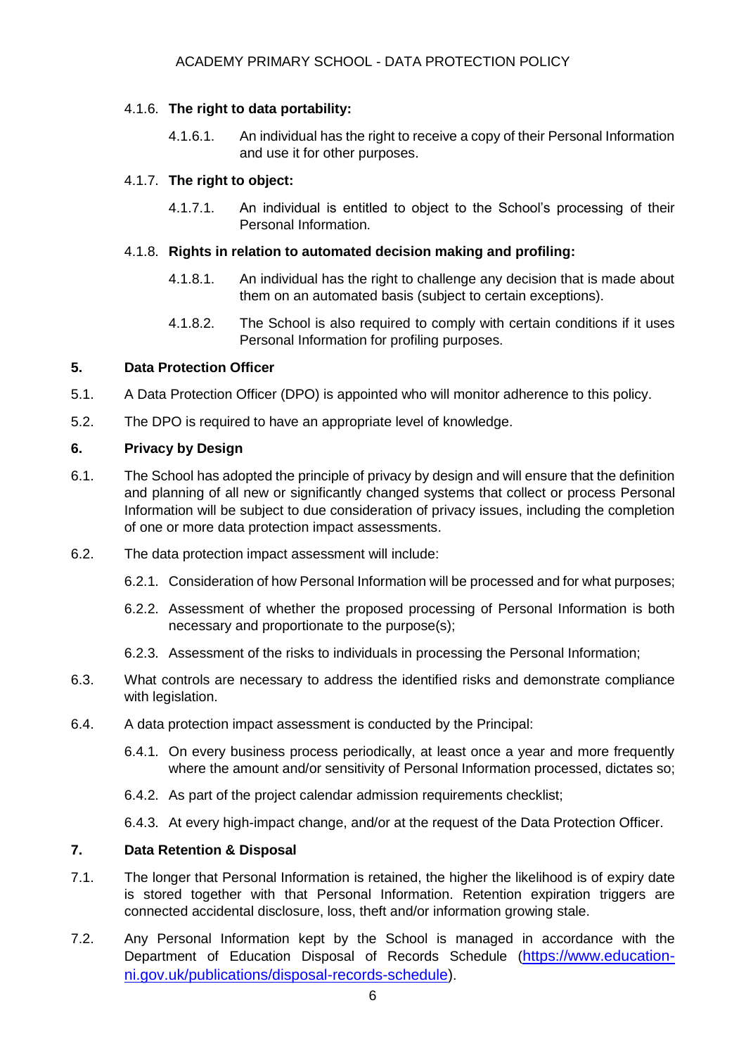## 4.1.6. **The right to data portability:**

4.1.6.1. An individual has the right to receive a copy of their Personal Information and use it for other purposes.

## 4.1.7. **The right to object:**

4.1.7.1. An individual is entitled to object to the School's processing of their Personal Information.

## 4.1.8. **Rights in relation to automated decision making and profiling:**

- 4.1.8.1. An individual has the right to challenge any decision that is made about them on an automated basis (subject to certain exceptions).
- 4.1.8.2. The School is also required to comply with certain conditions if it uses Personal Information for profiling purposes.

## **5. Data Protection Officer**

- 5.1. A Data Protection Officer (DPO) is appointed who will monitor adherence to this policy.
- 5.2. The DPO is required to have an appropriate level of knowledge.

## **6. Privacy by Design**

- 6.1. The School has adopted the principle of privacy by design and will ensure that the definition and planning of all new or significantly changed systems that collect or process Personal Information will be subject to due consideration of privacy issues, including the completion of one or more data protection impact assessments.
- 6.2. The data protection impact assessment will include:
	- 6.2.1. Consideration of how Personal Information will be processed and for what purposes;
	- 6.2.2. Assessment of whether the proposed processing of Personal Information is both necessary and proportionate to the purpose(s);
	- 6.2.3. Assessment of the risks to individuals in processing the Personal Information;
- 6.3. What controls are necessary to address the identified risks and demonstrate compliance with legislation.
- 6.4. A data protection impact assessment is conducted by the Principal:
	- 6.4.1. On every business process periodically, at least once a year and more frequently where the amount and/or sensitivity of Personal Information processed, dictates so;
	- 6.4.2. As part of the project calendar admission requirements checklist;
	- 6.4.3. At every high-impact change, and/or at the request of the Data Protection Officer.

#### **7. Data Retention & Disposal**

- 7.1. The longer that Personal Information is retained, the higher the likelihood is of expiry date is stored together with that Personal Information. Retention expiration triggers are connected accidental disclosure, loss, theft and/or information growing stale.
- 7.2. Any Personal Information kept by the School is managed in accordance with the Department of Education Disposal of Records Schedule ([https://www.education](https://www.education-ni.gov.uk/publications/disposal-records-schedule)[ni.gov.uk/publications/disposal-records-schedule\)](https://www.education-ni.gov.uk/publications/disposal-records-schedule).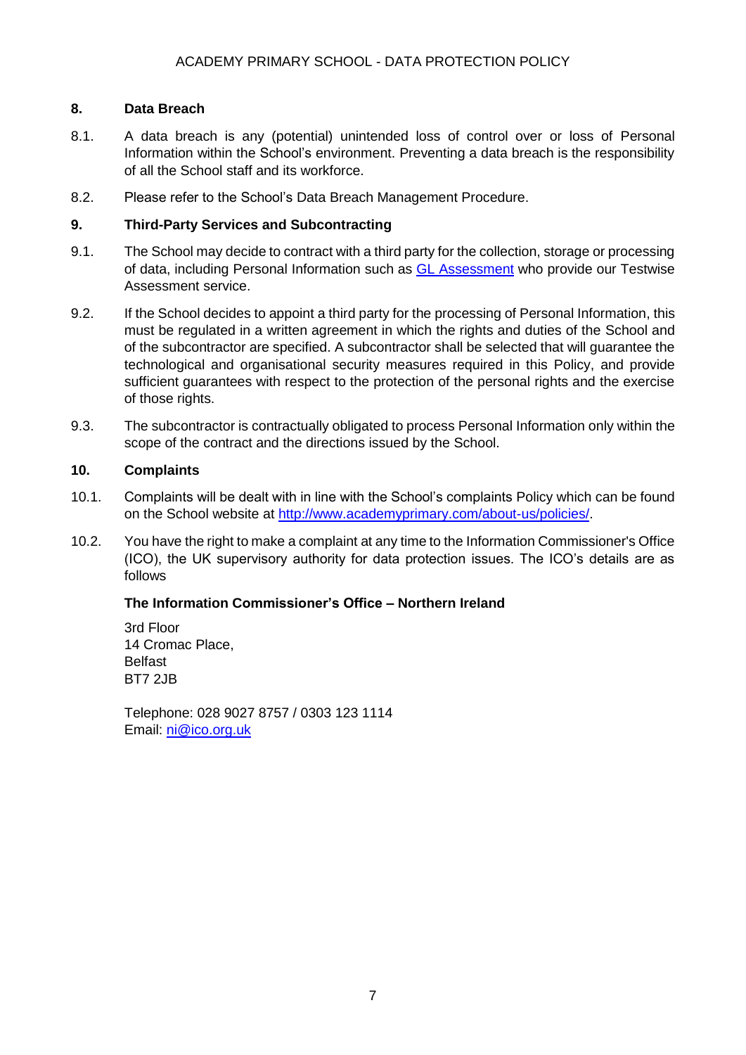## **8. Data Breach**

- 8.1. A data breach is any (potential) unintended loss of control over or loss of Personal Information within the School's environment. Preventing a data breach is the responsibility of all the School staff and its workforce.
- 8.2. Please refer to the School's Data Breach Management Procedure.

## **9. Third-Party Services and Subcontracting**

- 9.1. The School may decide to contract with a third party for the collection, storage or processing of data, including Personal Information such as [GL Assessment](https://www.gl-assessment.co.uk/) who provide our Testwise Assessment service.
- 9.2. If the School decides to appoint a third party for the processing of Personal Information, this must be regulated in a written agreement in which the rights and duties of the School and of the subcontractor are specified. A subcontractor shall be selected that will guarantee the technological and organisational security measures required in this Policy, and provide sufficient guarantees with respect to the protection of the personal rights and the exercise of those rights.
- 9.3. The subcontractor is contractually obligated to process Personal Information only within the scope of the contract and the directions issued by the School.

## **10. Complaints**

- 10.1. Complaints will be dealt with in line with the School's complaints Policy which can be found on the School website at [http://www.academyprimary.com/about-us/policies/.](http://www.academyprimary.com/about-us/policies/)
- 10.2. You have the right to make a complaint at any time to the Information Commissioner's Office (ICO), the UK supervisory authority for data protection issues. The ICO's details are as follows

#### **The Information Commissioner's Office – Northern Ireland**

3rd Floor 14 Cromac Place, Belfast BT7 2JB

Telephone: 028 9027 8757 / 0303 123 1114 Email: [ni@ico.org.uk](mailto:ni@ico.org.uk)